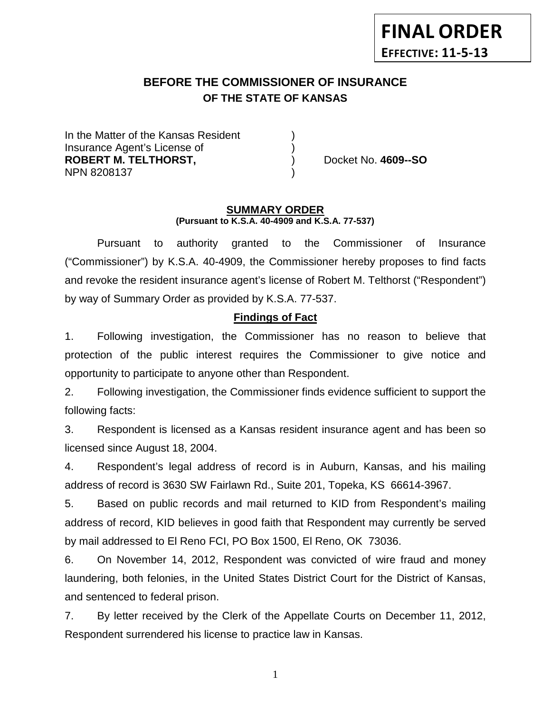# **FINAL ORDER EFFECTIVE: 11-5-13**

## **BEFORE THE COMMISSIONER OF INSURANCE OF THE STATE OF KANSAS**

In the Matter of the Kansas Resident Insurance Agent's License of ) **ROBERT M. TELTHORST,** ) Docket No. **4609--SO** NPN 8208137 )

#### **SUMMARY ORDER (Pursuant to K.S.A. 40-4909 and K.S.A. 77-537)**

Pursuant to authority granted to the Commissioner of Insurance ("Commissioner") by K.S.A. 40-4909, the Commissioner hereby proposes to find facts and revoke the resident insurance agent's license of Robert M. Telthorst ("Respondent") by way of Summary Order as provided by K.S.A. 77-537.

### **Findings of Fact**

1. Following investigation, the Commissioner has no reason to believe that protection of the public interest requires the Commissioner to give notice and opportunity to participate to anyone other than Respondent.

2. Following investigation, the Commissioner finds evidence sufficient to support the following facts:

3. Respondent is licensed as a Kansas resident insurance agent and has been so licensed since August 18, 2004.

4. Respondent's legal address of record is in Auburn, Kansas, and his mailing address of record is 3630 SW Fairlawn Rd., Suite 201, Topeka, KS 66614-3967.

5. Based on public records and mail returned to KID from Respondent's mailing address of record, KID believes in good faith that Respondent may currently be served by mail addressed to El Reno FCI, PO Box 1500, El Reno, OK 73036.

6. On November 14, 2012, Respondent was convicted of wire fraud and money laundering, both felonies, in the United States District Court for the District of Kansas, and sentenced to federal prison.

7. By letter received by the Clerk of the Appellate Courts on December 11, 2012, Respondent surrendered his license to practice law in Kansas.

1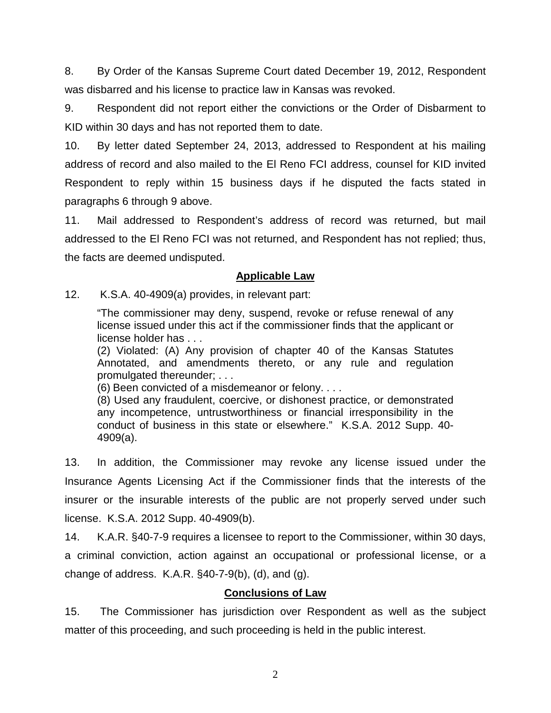8. By Order of the Kansas Supreme Court dated December 19, 2012, Respondent was disbarred and his license to practice law in Kansas was revoked.

9. Respondent did not report either the convictions or the Order of Disbarment to KID within 30 days and has not reported them to date.

10. By letter dated September 24, 2013, addressed to Respondent at his mailing address of record and also mailed to the El Reno FCI address, counsel for KID invited Respondent to reply within 15 business days if he disputed the facts stated in paragraphs 6 through 9 above.

11. Mail addressed to Respondent's address of record was returned, but mail addressed to the El Reno FCI was not returned, and Respondent has not replied; thus, the facts are deemed undisputed.

### **Applicable Law**

12. K.S.A. 40-4909(a) provides, in relevant part:

"The commissioner may deny, suspend, revoke or refuse renewal of any license issued under this act if the commissioner finds that the applicant or license holder has . . .

(2) Violated: (A) Any provision of chapter 40 of the Kansas Statutes Annotated, and amendments thereto, or any rule and regulation promulgated thereunder; . . .

(6) Been convicted of a misdemeanor or felony. . . .

(8) Used any fraudulent, coercive, or dishonest practice, or demonstrated any incompetence, untrustworthiness or financial irresponsibility in the conduct of business in this state or elsewhere." K.S.A. 2012 Supp. 40- 4909(a).

13. In addition, the Commissioner may revoke any license issued under the Insurance Agents Licensing Act if the Commissioner finds that the interests of the insurer or the insurable interests of the public are not properly served under such license. K.S.A. 2012 Supp. 40-4909(b).

14. K.A.R. §40-7-9 requires a licensee to report to the Commissioner, within 30 days, a criminal conviction, action against an occupational or professional license, or a change of address. K.A.R.  $§$ 40-7-9(b), (d), and (g).

## **Conclusions of Law**

15. The Commissioner has jurisdiction over Respondent as well as the subject matter of this proceeding, and such proceeding is held in the public interest.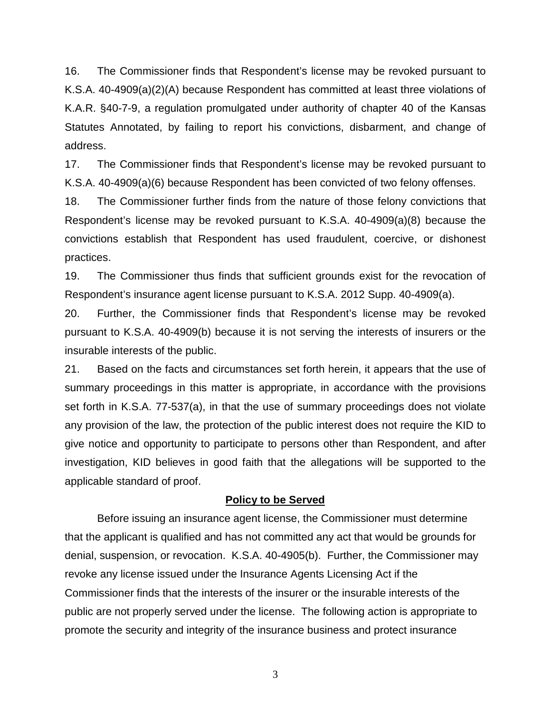16. The Commissioner finds that Respondent's license may be revoked pursuant to K.S.A. 40-4909(a)(2)(A) because Respondent has committed at least three violations of K.A.R. §40-7-9, a regulation promulgated under authority of chapter 40 of the Kansas Statutes Annotated, by failing to report his convictions, disbarment, and change of address.

17. The Commissioner finds that Respondent's license may be revoked pursuant to K.S.A. 40-4909(a)(6) because Respondent has been convicted of two felony offenses.

18. The Commissioner further finds from the nature of those felony convictions that Respondent's license may be revoked pursuant to K.S.A. 40-4909(a)(8) because the convictions establish that Respondent has used fraudulent, coercive, or dishonest practices.

19. The Commissioner thus finds that sufficient grounds exist for the revocation of Respondent's insurance agent license pursuant to K.S.A. 2012 Supp. 40-4909(a).

20. Further, the Commissioner finds that Respondent's license may be revoked pursuant to K.S.A. 40-4909(b) because it is not serving the interests of insurers or the insurable interests of the public.

21. Based on the facts and circumstances set forth herein, it appears that the use of summary proceedings in this matter is appropriate, in accordance with the provisions set forth in K.S.A. 77-537(a), in that the use of summary proceedings does not violate any provision of the law, the protection of the public interest does not require the KID to give notice and opportunity to participate to persons other than Respondent, and after investigation, KID believes in good faith that the allegations will be supported to the applicable standard of proof.

#### **Policy to be Served**

Before issuing an insurance agent license, the Commissioner must determine that the applicant is qualified and has not committed any act that would be grounds for denial, suspension, or revocation. K.S.A. 40-4905(b). Further, the Commissioner may revoke any license issued under the Insurance Agents Licensing Act if the Commissioner finds that the interests of the insurer or the insurable interests of the public are not properly served under the license. The following action is appropriate to promote the security and integrity of the insurance business and protect insurance

3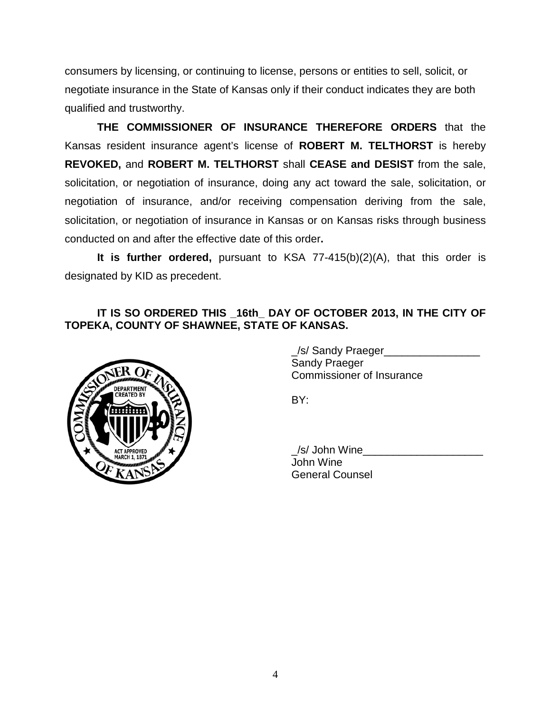consumers by licensing, or continuing to license, persons or entities to sell, solicit, or negotiate insurance in the State of Kansas only if their conduct indicates they are both qualified and trustworthy.

**THE COMMISSIONER OF INSURANCE THEREFORE ORDERS** that the Kansas resident insurance agent's license of **ROBERT M. TELTHORST** is hereby **REVOKED,** and **ROBERT M. TELTHORST** shall **CEASE and DESIST** from the sale, solicitation, or negotiation of insurance, doing any act toward the sale, solicitation, or negotiation of insurance, and/or receiving compensation deriving from the sale, solicitation, or negotiation of insurance in Kansas or on Kansas risks through business conducted on and after the effective date of this order**.**

**It is further ordered,** pursuant to KSA 77-415(b)(2)(A), that this order is designated by KID as precedent.

## IT IS SO ORDERED THIS 16th DAY OF OCTOBER 2013, IN THE CITY OF **TOPEKA, COUNTY OF SHAWNEE, STATE OF KANSAS.**



| /s/ Sandy Praeger                |  |
|----------------------------------|--|
| Sandy Praeger                    |  |
| <b>Commissioner of Insurance</b> |  |

BY:

/s/ John Wine John Wine General Counsel